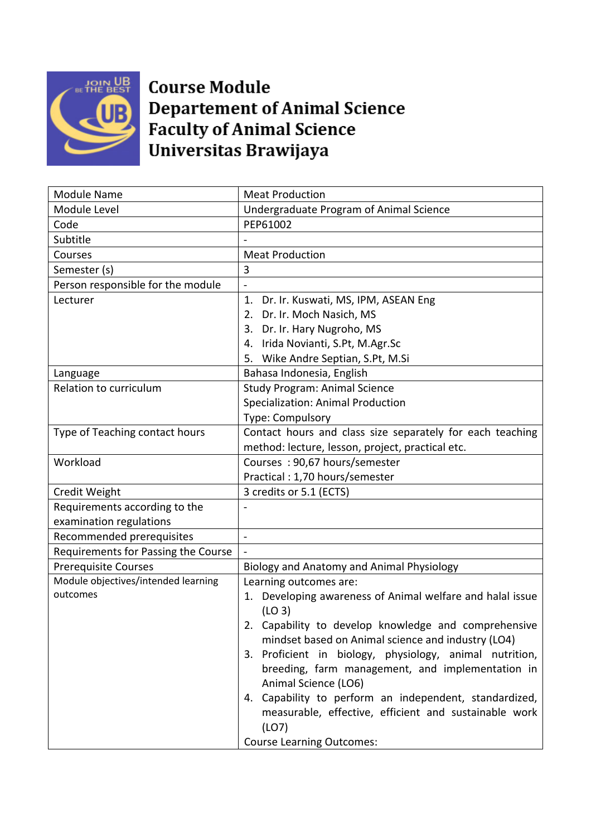

## **Course Module Departement of Animal Science Faculty of Animal Science** Universitas Brawijaya

| <b>Module Name</b>                  | <b>Meat Production</b>                                    |
|-------------------------------------|-----------------------------------------------------------|
| Module Level                        | Undergraduate Program of Animal Science                   |
| Code                                | PEP61002                                                  |
| Subtitle                            |                                                           |
| Courses                             | <b>Meat Production</b>                                    |
| Semester (s)                        | 3                                                         |
| Person responsible for the module   | $\overline{a}$                                            |
| Lecturer                            | Dr. Ir. Kuswati, MS, IPM, ASEAN Eng<br>1.                 |
|                                     | 2. Dr. Ir. Moch Nasich, MS                                |
|                                     | 3. Dr. Ir. Hary Nugroho, MS                               |
|                                     | 4. Irida Novianti, S.Pt, M.Agr.Sc                         |
|                                     | 5. Wike Andre Septian, S.Pt, M.Si                         |
| Language                            | Bahasa Indonesia, English                                 |
| Relation to curriculum              | <b>Study Program: Animal Science</b>                      |
|                                     | Specialization: Animal Production                         |
|                                     | Type: Compulsory                                          |
| Type of Teaching contact hours      | Contact hours and class size separately for each teaching |
|                                     | method: lecture, lesson, project, practical etc.          |
| Workload                            | Courses: 90,67 hours/semester                             |
|                                     | Practical: 1,70 hours/semester                            |
| Credit Weight                       | 3 credits or 5.1 (ECTS)                                   |
| Requirements according to the       |                                                           |
| examination regulations             |                                                           |
| Recommended prerequisites           | $\blacksquare$                                            |
| Requirements for Passing the Course |                                                           |
| <b>Prerequisite Courses</b>         | Biology and Anatomy and Animal Physiology                 |
| Module objectives/intended learning | Learning outcomes are:                                    |
| outcomes                            | 1. Developing awareness of Animal welfare and halal issue |
|                                     | (LO 3)                                                    |
|                                     | 2. Capability to develop knowledge and comprehensive      |
|                                     | mindset based on Animal science and industry (LO4)        |
|                                     | 3. Proficient in biology, physiology, animal nutrition,   |
|                                     | breeding, farm management, and implementation in          |
|                                     | Animal Science (LO6)                                      |
|                                     | 4. Capability to perform an independent, standardized,    |
|                                     | measurable, effective, efficient and sustainable work     |
|                                     | (LO7)                                                     |
|                                     | <b>Course Learning Outcomes:</b>                          |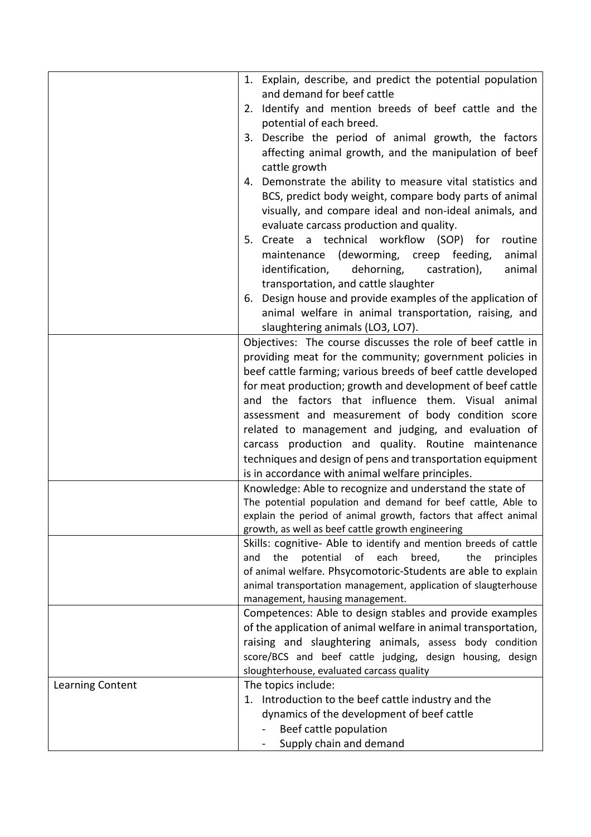|                  | 1. Explain, describe, and predict the potential population                                                                                                                    |
|------------------|-------------------------------------------------------------------------------------------------------------------------------------------------------------------------------|
|                  | and demand for beef cattle                                                                                                                                                    |
|                  | 2. Identify and mention breeds of beef cattle and the                                                                                                                         |
|                  | potential of each breed.                                                                                                                                                      |
|                  | Describe the period of animal growth, the factors<br>3.                                                                                                                       |
|                  | affecting animal growth, and the manipulation of beef                                                                                                                         |
|                  | cattle growth                                                                                                                                                                 |
|                  | 4. Demonstrate the ability to measure vital statistics and                                                                                                                    |
|                  | BCS, predict body weight, compare body parts of animal                                                                                                                        |
|                  | visually, and compare ideal and non-ideal animals, and                                                                                                                        |
|                  | evaluate carcass production and quality.                                                                                                                                      |
|                  | Create a technical workflow (SOP) for<br>routine<br>5.                                                                                                                        |
|                  | maintenance (deworming, creep feeding,<br>animal                                                                                                                              |
|                  | identification,<br>dehorning,<br>castration),<br>animal                                                                                                                       |
|                  | transportation, and cattle slaughter                                                                                                                                          |
|                  | 6. Design house and provide examples of the application of                                                                                                                    |
|                  | animal welfare in animal transportation, raising, and                                                                                                                         |
|                  | slaughtering animals (LO3, LO7).                                                                                                                                              |
|                  | Objectives: The course discusses the role of beef cattle in                                                                                                                   |
|                  | providing meat for the community; government policies in                                                                                                                      |
|                  | beef cattle farming; various breeds of beef cattle developed                                                                                                                  |
|                  | for meat production; growth and development of beef cattle                                                                                                                    |
|                  | and the factors that influence them. Visual animal                                                                                                                            |
|                  | assessment and measurement of body condition score                                                                                                                            |
|                  | related to management and judging, and evaluation of                                                                                                                          |
|                  | carcass production and quality. Routine maintenance                                                                                                                           |
|                  | techniques and design of pens and transportation equipment<br>is in accordance with animal welfare principles.                                                                |
|                  | Knowledge: Able to recognize and understand the state of                                                                                                                      |
|                  | The potential population and demand for beef cattle, Able to                                                                                                                  |
|                  | explain the period of animal growth, factors that affect animal                                                                                                               |
|                  | growth, as well as beef cattle growth engineering                                                                                                                             |
|                  | Skills: cognitive- Able to identify and mention breeds of cattle                                                                                                              |
|                  | the<br>potential of each<br>breed,<br>and<br>the<br>principles                                                                                                                |
|                  | of animal welfare. Phsycomotoric-Students are able to explain                                                                                                                 |
|                  | animal transportation management, application of slaugterhouse                                                                                                                |
|                  | management, hausing management.                                                                                                                                               |
|                  | Competences: Able to design stables and provide examples                                                                                                                      |
|                  | of the application of animal welfare in animal transportation,                                                                                                                |
|                  | raising and slaughtering animals, assess body condition                                                                                                                       |
|                  | score/BCS and beef cattle judging, design housing, design<br>sloughterhouse, evaluated carcass quality                                                                        |
|                  |                                                                                                                                                                               |
|                  |                                                                                                                                                                               |
|                  |                                                                                                                                                                               |
|                  |                                                                                                                                                                               |
|                  |                                                                                                                                                                               |
| Learning Content | The topics include:<br>1. Introduction to the beef cattle industry and the<br>dynamics of the development of beef cattle<br>Beef cattle population<br>Supply chain and demand |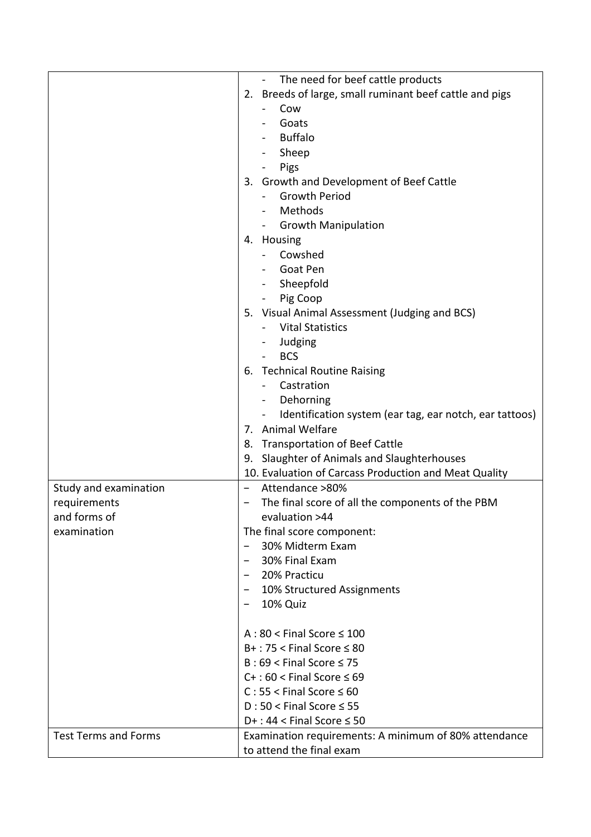|                             | The need for beef cattle products                                            |
|-----------------------------|------------------------------------------------------------------------------|
|                             | 2. Breeds of large, small ruminant beef cattle and pigs                      |
|                             | Cow                                                                          |
|                             | Goats                                                                        |
|                             | <b>Buffalo</b>                                                               |
|                             | Sheep                                                                        |
|                             | Pigs                                                                         |
|                             | 3. Growth and Development of Beef Cattle                                     |
|                             | <b>Growth Period</b>                                                         |
|                             | Methods                                                                      |
|                             | <b>Growth Manipulation</b>                                                   |
|                             | 4. Housing                                                                   |
|                             | Cowshed                                                                      |
|                             | Goat Pen                                                                     |
|                             | Sheepfold                                                                    |
|                             | Pig Coop<br>$\blacksquare$                                                   |
|                             | 5. Visual Animal Assessment (Judging and BCS)                                |
|                             | <b>Vital Statistics</b>                                                      |
|                             |                                                                              |
|                             | Judging<br><b>BCS</b>                                                        |
|                             |                                                                              |
|                             | 6. Technical Routine Raising<br>Castration                                   |
|                             |                                                                              |
|                             | Dehorning                                                                    |
|                             | Identification system (ear tag, ear notch, ear tattoos)<br>7. Animal Welfare |
|                             |                                                                              |
|                             | 8. Transportation of Beef Cattle                                             |
|                             | 9. Slaughter of Animals and Slaughterhouses                                  |
|                             | 10. Evaluation of Carcass Production and Meat Quality                        |
| Study and examination       | Attendance >80%<br>$\overline{\phantom{m}}$                                  |
| requirements                | The final score of all the components of the PBM                             |
| and forms of                | evaluation >44                                                               |
| examination                 | The final score component:                                                   |
|                             | 30% Midterm Exam                                                             |
|                             | 30% Final Exam<br>$\qquad \qquad -$                                          |
|                             | 20% Practicu                                                                 |
|                             | 10% Structured Assignments<br>$\qquad \qquad \blacksquare$                   |
|                             | 10% Quiz                                                                     |
|                             | $A:80 <$ Final Score $\leq 100$                                              |
|                             | $B+$ : 75 < Final Score $\leq 80$                                            |
|                             | $B:69 <$ Final Score $\leq 75$                                               |
|                             | $C+$ : 60 < Final Score $\leq 69$                                            |
|                             | $C: 55 <$ Final Score $\leq 60$                                              |
|                             | $D:50 <$ Final Score $\leq 55$                                               |
|                             | $D+$ : 44 < Final Score $\leq$ 50                                            |
| <b>Test Terms and Forms</b> | Examination requirements: A minimum of 80% attendance                        |
|                             | to attend the final exam                                                     |
|                             |                                                                              |